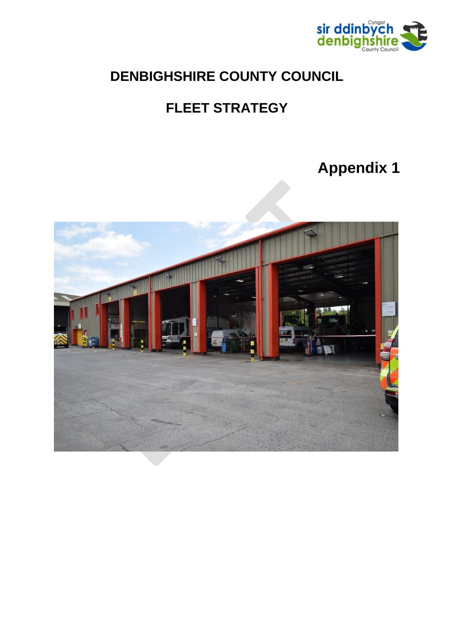

## **DENBIGHSHIRE COUNTY COUNCIL**

# **FLEET STRATEGY**

# **Appendix 1**

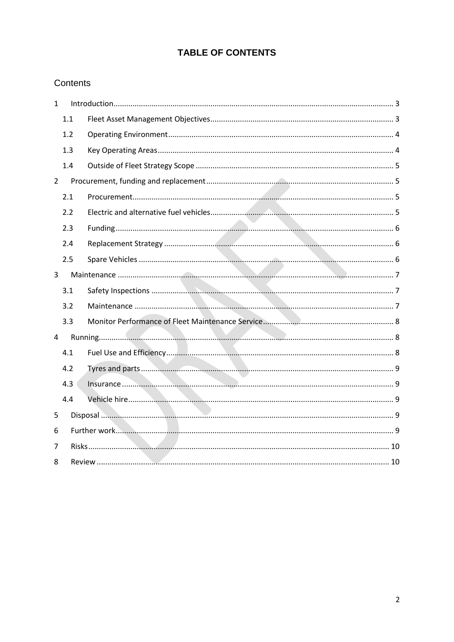## **TABLE OF CONTENTS**

#### Contents

| $\mathbf{1}$   |     | Introduction 3 |  |  |
|----------------|-----|----------------|--|--|
|                | 1.1 |                |  |  |
|                | 1.2 |                |  |  |
|                | 1.3 |                |  |  |
|                | 1.4 |                |  |  |
| $\overline{2}$ |     |                |  |  |
|                | 2.1 |                |  |  |
|                | 2.2 |                |  |  |
|                | 2.3 |                |  |  |
|                | 2.4 |                |  |  |
|                | 2.5 |                |  |  |
| 3              |     |                |  |  |
|                | 3.1 |                |  |  |
|                | 3.2 |                |  |  |
|                | 3.3 |                |  |  |
| 4              |     |                |  |  |
|                | 4.1 |                |  |  |
|                | 4.2 |                |  |  |
|                | 4.3 |                |  |  |
|                | 4.4 |                |  |  |
| 5              |     |                |  |  |
| 6              |     |                |  |  |
| 7              |     |                |  |  |
| 8              |     |                |  |  |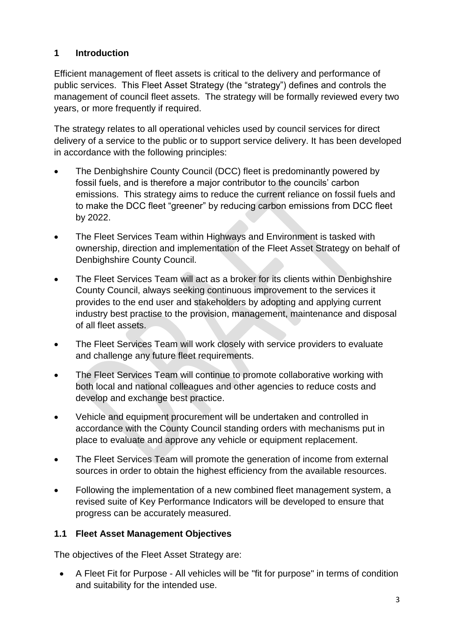## <span id="page-2-0"></span>**1 Introduction**

Efficient management of fleet assets is critical to the delivery and performance of public services. This Fleet Asset Strategy (the "strategy") defines and controls the management of council fleet assets. The strategy will be formally reviewed every two years, or more frequently if required.

The strategy relates to all operational vehicles used by council services for direct delivery of a service to the public or to support service delivery. It has been developed in accordance with the following principles:

- The Denbighshire County Council (DCC) fleet is predominantly powered by fossil fuels, and is therefore a major contributor to the councils' carbon emissions. This strategy aims to reduce the current reliance on fossil fuels and to make the DCC fleet "greener" by reducing carbon emissions from DCC fleet by 2022.
- The Fleet Services Team within Highways and Environment is tasked with ownership, direction and implementation of the Fleet Asset Strategy on behalf of Denbighshire County Council.
- The Fleet Services Team will act as a broker for its clients within Denbighshire County Council, always seeking continuous improvement to the services it provides to the end user and stakeholders by adopting and applying current industry best practise to the provision, management, maintenance and disposal of all fleet assets.
- The Fleet Services Team will work closely with service providers to evaluate and challenge any future fleet requirements.
- The Fleet Services Team will continue to promote collaborative working with both local and national colleagues and other agencies to reduce costs and develop and exchange best practice.
- Vehicle and equipment procurement will be undertaken and controlled in accordance with the County Council standing orders with mechanisms put in place to evaluate and approve any vehicle or equipment replacement.
- The Fleet Services Team will promote the generation of income from external sources in order to obtain the highest efficiency from the available resources.
- Following the implementation of a new combined fleet management system, a revised suite of Key Performance Indicators will be developed to ensure that progress can be accurately measured.

## <span id="page-2-1"></span>**1.1 Fleet Asset Management Objectives**

The objectives of the Fleet Asset Strategy are:

 A Fleet Fit for Purpose - All vehicles will be "fit for purpose" in terms of condition and suitability for the intended use.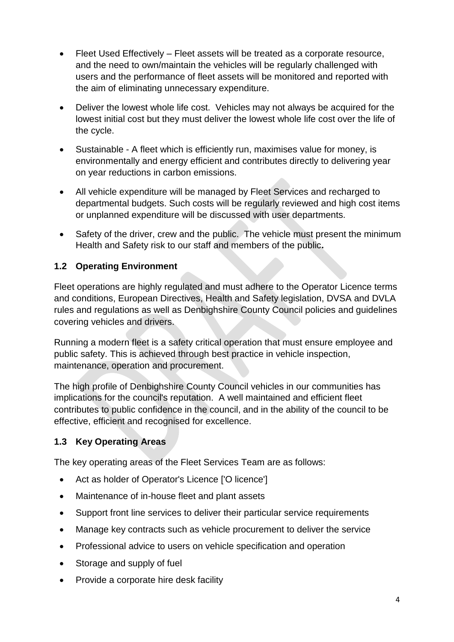- Fleet Used Effectively Fleet assets will be treated as a corporate resource, and the need to own/maintain the vehicles will be regularly challenged with users and the performance of fleet assets will be monitored and reported with the aim of eliminating unnecessary expenditure.
- Deliver the lowest whole life cost. Vehicles may not always be acquired for the lowest initial cost but they must deliver the lowest whole life cost over the life of the cycle.
- Sustainable A fleet which is efficiently run, maximises value for money, is environmentally and energy efficient and contributes directly to delivering year on year reductions in carbon emissions.
- All vehicle expenditure will be managed by Fleet Services and recharged to departmental budgets. Such costs will be regularly reviewed and high cost items or unplanned expenditure will be discussed with user departments.
- Safety of the driver, crew and the public. The vehicle must present the minimum Health and Safety risk to our staff and members of the public**.**

## <span id="page-3-0"></span>**1.2 Operating Environment**

Fleet operations are highly regulated and must adhere to the Operator Licence terms and conditions, European Directives, Health and Safety legislation, DVSA and DVLA rules and regulations as well as Denbighshire County Council policies and guidelines covering vehicles and drivers.

Running a modern fleet is a safety critical operation that must ensure employee and public safety. This is achieved through best practice in vehicle inspection, maintenance, operation and procurement.

The high profile of Denbighshire County Council vehicles in our communities has implications for the council's reputation. A well maintained and efficient fleet contributes to public confidence in the council, and in the ability of the council to be effective, efficient and recognised for excellence.

## <span id="page-3-1"></span>**1.3 Key Operating Areas**

The key operating areas of the Fleet Services Team are as follows:

- Act as holder of Operator's Licence ['O licence']
- Maintenance of in-house fleet and plant assets
- Support front line services to deliver their particular service requirements
- Manage key contracts such as vehicle procurement to deliver the service
- Professional advice to users on vehicle specification and operation
- Storage and supply of fuel
- Provide a corporate hire desk facility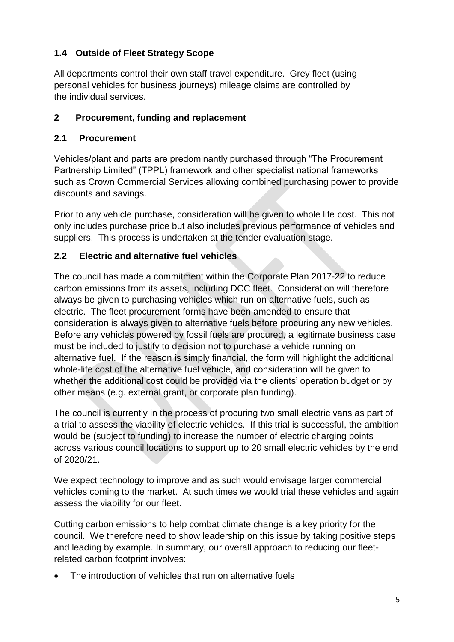## <span id="page-4-0"></span>**1.4 Outside of Fleet Strategy Scope**

All departments control their own staff travel expenditure. Grey fleet (using personal vehicles for business journeys) mileage claims are controlled by the individual services.

#### <span id="page-4-1"></span>**2 Procurement, funding and replacement**

#### <span id="page-4-2"></span>**2.1 Procurement**

Vehicles/plant and parts are predominantly purchased through "The Procurement Partnership Limited" (TPPL) framework and other specialist national frameworks such as Crown Commercial Services allowing combined purchasing power to provide discounts and savings.

Prior to any vehicle purchase, consideration will be given to whole life cost. This not only includes purchase price but also includes previous performance of vehicles and suppliers. This process is undertaken at the tender evaluation stage.

#### <span id="page-4-3"></span>**2.2 Electric and alternative fuel vehicles**

The council has made a commitment within the Corporate Plan 2017-22 to reduce carbon emissions from its assets, including DCC fleet. Consideration will therefore always be given to purchasing vehicles which run on alternative fuels, such as electric. The fleet procurement forms have been amended to ensure that consideration is always given to alternative fuels before procuring any new vehicles. Before any vehicles powered by fossil fuels are procured, a legitimate business case must be included to justify to decision not to purchase a vehicle running on alternative fuel. If the reason is simply financial, the form will highlight the additional whole-life cost of the alternative fuel vehicle, and consideration will be given to whether the additional cost could be provided via the clients' operation budget or by other means (e.g. external grant, or corporate plan funding).

The council is currently in the process of procuring two small electric vans as part of a trial to assess the viability of electric vehicles. If this trial is successful, the ambition would be (subject to funding) to increase the number of electric charging points across various council locations to support up to 20 small electric vehicles by the end of 2020/21.

We expect technology to improve and as such would envisage larger commercial vehicles coming to the market. At such times we would trial these vehicles and again assess the viability for our fleet.

Cutting carbon emissions to help combat climate change is a key priority for the council. We therefore need to show leadership on this issue by taking positive steps and leading by example. In summary, our overall approach to reducing our fleetrelated carbon footprint involves:

The introduction of vehicles that run on alternative fuels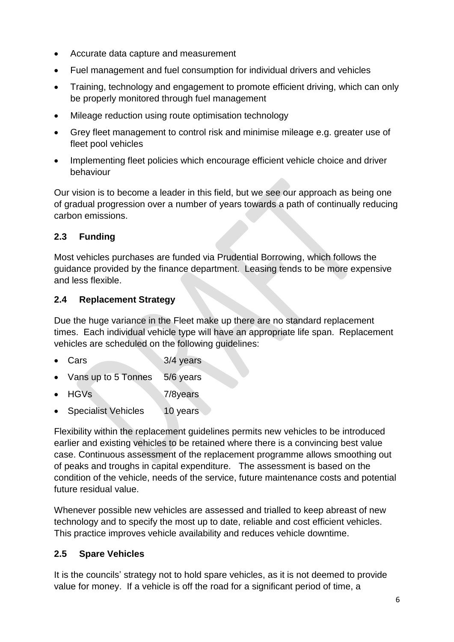- Accurate data capture and measurement
- Fuel management and fuel consumption for individual drivers and vehicles
- Training, technology and engagement to promote efficient driving, which can only be properly monitored through fuel management
- Mileage reduction using route optimisation technology
- Grey fleet management to control risk and minimise mileage e.g. greater use of fleet pool vehicles
- Implementing fleet policies which encourage efficient vehicle choice and driver behaviour

Our vision is to become a leader in this field, but we see our approach as being one of gradual progression over a number of years towards a path of continually reducing carbon emissions.

## <span id="page-5-0"></span>**2.3 Funding**

Most vehicles purchases are funded via Prudential Borrowing, which follows the guidance provided by the finance department. Leasing tends to be more expensive and less flexible.

## <span id="page-5-1"></span>**2.4 Replacement Strategy**

Due the huge variance in the Fleet make up there are no standard replacement times. Each individual vehicle type will have an appropriate life span. Replacement vehicles are scheduled on the following guidelines:

- Cars 3/4 years
- Vans up to 5 Tonnes 5/6 years
- HGVs 7/8years
- Specialist Vehicles 10 years

Flexibility within the replacement guidelines permits new vehicles to be introduced earlier and existing vehicles to be retained where there is a convincing best value case. Continuous assessment of the replacement programme allows smoothing out of peaks and troughs in capital expenditure. The assessment is based on the condition of the vehicle, needs of the service, future maintenance costs and potential future residual value.

Whenever possible new vehicles are assessed and trialled to keep abreast of new technology and to specify the most up to date, reliable and cost efficient vehicles. This practice improves vehicle availability and reduces vehicle downtime.

## <span id="page-5-2"></span>**2.5 Spare Vehicles**

It is the councils' strategy not to hold spare vehicles, as it is not deemed to provide value for money. If a vehicle is off the road for a significant period of time, a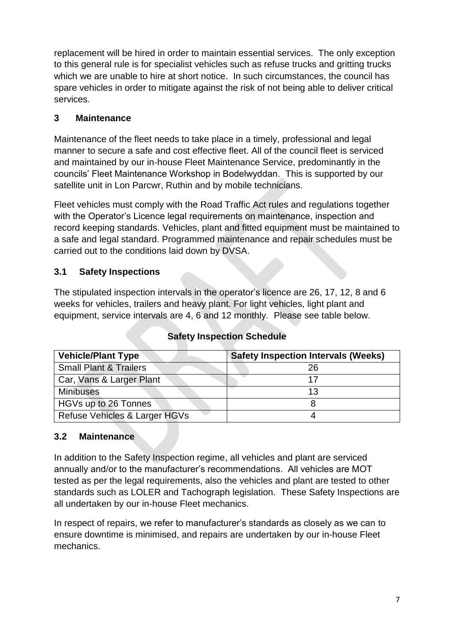replacement will be hired in order to maintain essential services. The only exception to this general rule is for specialist vehicles such as refuse trucks and gritting trucks which we are unable to hire at short notice. In such circumstances, the council has spare vehicles in order to mitigate against the risk of not being able to deliver critical services.

## <span id="page-6-0"></span>**3 Maintenance**

Maintenance of the fleet needs to take place in a timely, professional and legal manner to secure a safe and cost effective fleet. All of the council fleet is serviced and maintained by our in-house Fleet Maintenance Service, predominantly in the councils' Fleet Maintenance Workshop in Bodelwyddan. This is supported by our satellite unit in Lon Parcwr, Ruthin and by mobile technicians.

Fleet vehicles must comply with the Road Traffic Act rules and regulations together with the Operator's Licence legal requirements on maintenance, inspection and record keeping standards. Vehicles, plant and fitted equipment must be maintained to a safe and legal standard. Programmed maintenance and repair schedules must be carried out to the conditions laid down by DVSA.

## <span id="page-6-1"></span>**3.1 Safety Inspections**

The stipulated inspection intervals in the operator's licence are 26, 17, 12, 8 and 6 weeks for vehicles, trailers and heavy plant. For light vehicles, light plant and equipment, service intervals are 4, 6 and 12 monthly. Please see table below.

| <b>Vehicle/Plant Type</b>         | <b>Safety Inspection Intervals (Weeks)</b> |
|-----------------------------------|--------------------------------------------|
| <b>Small Plant &amp; Trailers</b> | 26                                         |
| Car, Vans & Larger Plant          | 17                                         |
| <b>Minibuses</b>                  | 13                                         |
| HGVs up to 26 Tonnes              |                                            |
| Refuse Vehicles & Larger HGVs     |                                            |

## **Safety Inspection Schedule**

#### <span id="page-6-2"></span>**3.2 Maintenance**

In addition to the Safety Inspection regime, all vehicles and plant are serviced annually and/or to the manufacturer's recommendations. All vehicles are MOT tested as per the legal requirements, also the vehicles and plant are tested to other standards such as LOLER and Tachograph legislation. These Safety Inspections are all undertaken by our in-house Fleet mechanics.

In respect of repairs, we refer to manufacturer's standards as closely as we can to ensure downtime is minimised, and repairs are undertaken by our in-house Fleet mechanics.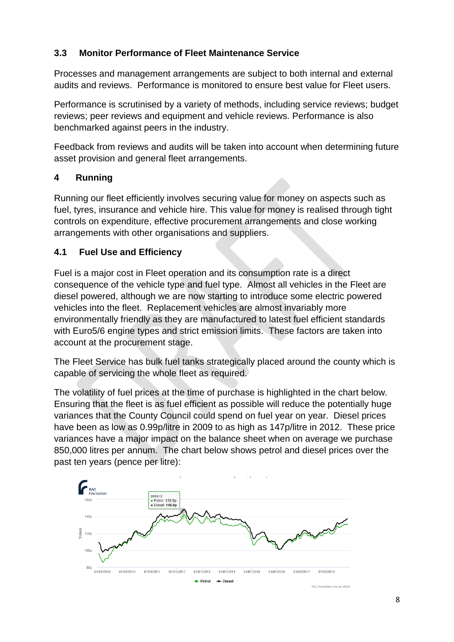## <span id="page-7-0"></span>**3.3 Monitor Performance of Fleet Maintenance Service**

Processes and management arrangements are subject to both internal and external audits and reviews. Performance is monitored to ensure best value for Fleet users.

Performance is scrutinised by a variety of methods, including service reviews; budget reviews; peer reviews and equipment and vehicle reviews. Performance is also benchmarked against peers in the industry.

Feedback from reviews and audits will be taken into account when determining future asset provision and general fleet arrangements.

## <span id="page-7-1"></span>**4 Running**

Running our fleet efficiently involves securing value for money on aspects such as fuel, tyres, insurance and vehicle hire. This value for money is realised through tight controls on expenditure, effective procurement arrangements and close working arrangements with other organisations and suppliers.

## <span id="page-7-2"></span>**4.1 Fuel Use and Efficiency**

Fuel is a major cost in Fleet operation and its consumption rate is a direct consequence of the vehicle type and fuel type. Almost all vehicles in the Fleet are diesel powered, although we are now starting to introduce some electric powered vehicles into the fleet. Replacement vehicles are almost invariably more environmentally friendly as they are manufactured to latest fuel efficient standards with Euro5/6 engine types and strict emission limits. These factors are taken into account at the procurement stage.

The Fleet Service has bulk fuel tanks strategically placed around the county which is capable of servicing the whole fleet as required.

The volatility of fuel prices at the time of purchase is highlighted in the chart below. Ensuring that the fleet is as fuel efficient as possible will reduce the potentially huge variances that the County Council could spend on fuel year on year. Diesel prices have been as low as 0.99p/litre in 2009 to as high as 147p/litre in 2012. These price variances have a major impact on the balance sheet when on average we purchase 850,000 litres per annum. The chart below shows petrol and diesel prices over the past ten years (pence per litre):

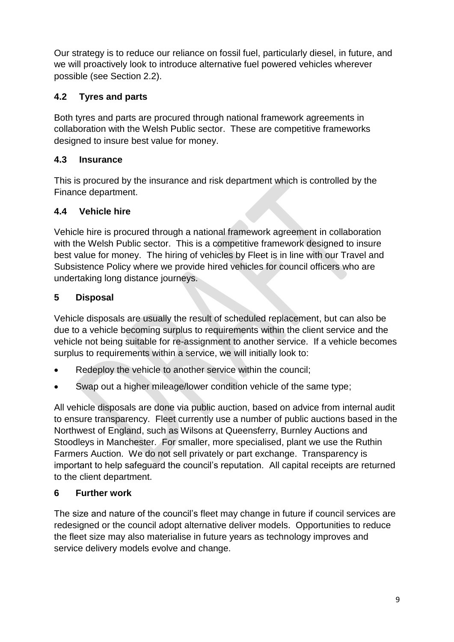Our strategy is to reduce our reliance on fossil fuel, particularly diesel, in future, and we will proactively look to introduce alternative fuel powered vehicles wherever possible (see Section 2.2).

## <span id="page-8-0"></span>**4.2 Tyres and parts**

Both tyres and parts are procured through national framework agreements in collaboration with the Welsh Public sector. These are competitive frameworks designed to insure best value for money.

## <span id="page-8-1"></span>**4.3 Insurance**

This is procured by the insurance and risk department which is controlled by the Finance department.

## <span id="page-8-2"></span>**4.4 Vehicle hire**

Vehicle hire is procured through a national framework agreement in collaboration with the Welsh Public sector. This is a competitive framework designed to insure best value for money. The hiring of vehicles by Fleet is in line with our Travel and Subsistence Policy where we provide hired vehicles for council officers who are undertaking long distance journeys.

## <span id="page-8-3"></span>**5 Disposal**

Vehicle disposals are usually the result of scheduled replacement, but can also be due to a vehicle becoming surplus to requirements within the client service and the vehicle not being suitable for re-assignment to another service. If a vehicle becomes surplus to requirements within a service, we will initially look to:

- Redeploy the vehicle to another service within the council;
- Swap out a higher mileage/lower condition vehicle of the same type;

All vehicle disposals are done via public auction, based on advice from internal audit to ensure transparency. Fleet currently use a number of public auctions based in the Northwest of England, such as Wilsons at Queensferry, Burnley Auctions and Stoodleys in Manchester. For smaller, more specialised, plant we use the Ruthin Farmers Auction. We do not sell privately or part exchange. Transparency is important to help safeguard the council's reputation. All capital receipts are returned to the client department.

## <span id="page-8-4"></span>**6 Further work**

The size and nature of the council's fleet may change in future if council services are redesigned or the council adopt alternative deliver models. Opportunities to reduce the fleet size may also materialise in future years as technology improves and service delivery models evolve and change.